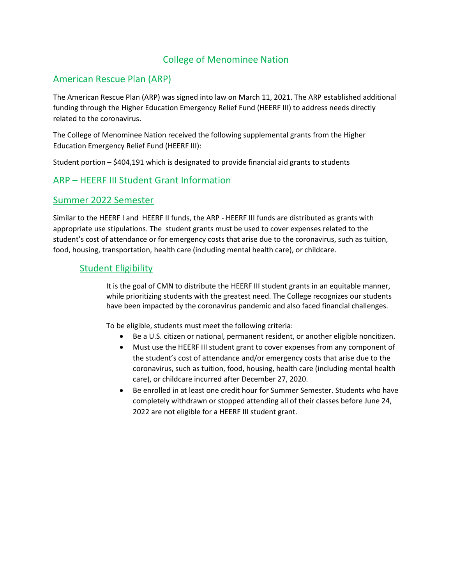# College of Menominee Nation

## American Rescue Plan (ARP)

The American Rescue Plan (ARP) was signed into law on March 11, 2021. The ARP established additional funding through the Higher Education Emergency Relief Fund (HEERF III) to address needs directly related to the coronavirus.

The College of Menominee Nation received the following supplemental grants from the Higher Education Emergency Relief Fund (HEERF III):

Student portion – \$404,191 which is designated to provide financial aid grants to students

### ARP – HEERF III Student Grant Information

### Summer 2022 Semester

Similar to the HEERF I and HEERF II funds, the ARP - HEERF III funds are distributed as grants with appropriate use stipulations. The student grants must be used to cover expenses related to the student's cost of attendance or for emergency costs that arise due to the coronavirus, such as tuition, food, housing, transportation, health care (including mental health care), or childcare.

#### Student Eligibility

It is the goal of CMN to distribute the HEERF III student grants in an equitable manner, while prioritizing students with the greatest need. The College recognizes our students have been impacted by the coronavirus pandemic and also faced financial challenges.

To be eligible, students must meet the following criteria:

- Be a U.S. citizen or national, permanent resident, or another eligible noncitizen.
- Must use the HEERF III student grant to cover expenses from any component of the student's cost of attendance and/or emergency costs that arise due to the coronavirus, such as tuition, food, housing, health care (including mental health care), or childcare incurred after December 27, 2020.
- Be enrolled in at least one credit hour for Summer Semester. Students who have completely withdrawn or stopped attending all of their classes before June 24, 2022 are not eligible for a HEERF III student grant.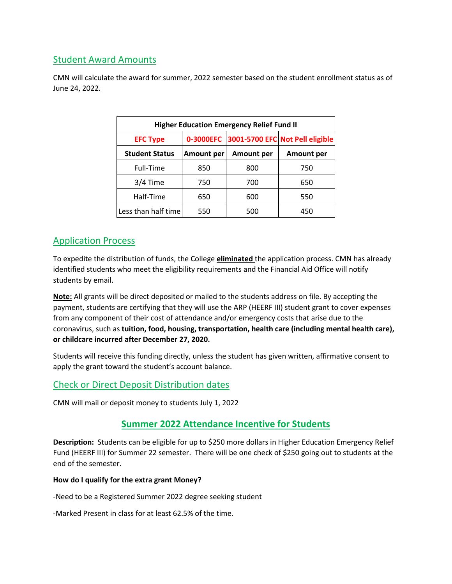# Student Award Amounts

CMN will calculate the award for summer, 2022 semester based on the student enrollment status as of June 24, 2022.

| <b>Higher Education Emergency Relief Fund II</b> |                   |            |                                           |
|--------------------------------------------------|-------------------|------------|-------------------------------------------|
| <b>EFC Type</b>                                  |                   |            | 0-3000EFC 3001-5700 EFC Not Pell eligible |
| <b>Student Status</b>                            | <b>Amount per</b> | Amount per | <b>Amount per</b>                         |
| Full-Time                                        | 850               | 800        | 750                                       |
| 3/4 Time                                         | 750               | 700        | 650                                       |
| Half-Time                                        | 650               | 600        | 550                                       |
| Less than half time                              | 550               | 500        | 450                                       |

# Application Process

To expedite the distribution of funds, the College **eliminated** the application process. CMN has already identified students who meet the eligibility requirements and the Financial Aid Office will notify students by email.

**Note:** All grants will be direct deposited or mailed to the students address on file. By accepting the payment, students are certifying that they will use the ARP (HEERF III) student grant to cover expenses from any component of their cost of attendance and/or emergency costs that arise due to the coronavirus, such as **tuition, food, housing, transportation, health care (including mental health care), or childcare incurred after December 27, 2020.**

Students will receive this funding directly, unless the student has given written, affirmative consent to apply the grant toward the student's account balance.

# Check or Direct Deposit Distribution dates

CMN will mail or deposit money to students July 1, 2022

## **Summer 2022 Attendance Incentive for Students**

**Description:** Students can be eligible for up to \$250 more dollars in Higher Education Emergency Relief Fund (HEERF III) for Summer 22 semester. There will be one check of \$250 going out to students at the end of the semester.

#### **How do I qualify for the extra grant Money?**

-Need to be a Registered Summer 2022 degree seeking student

-Marked Present in class for at least 62.5% of the time.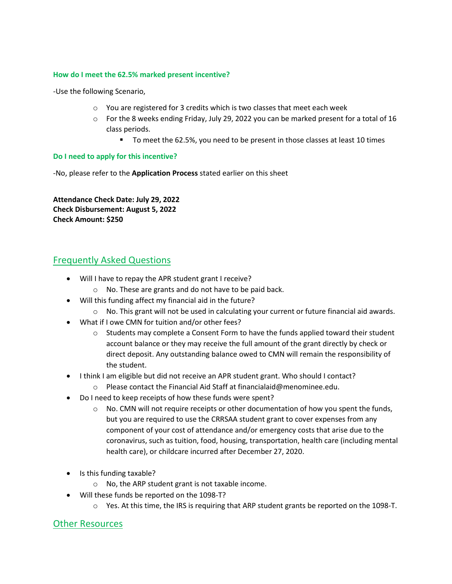#### **How do I meet the 62.5% marked present incentive?**

-Use the following Scenario,

- o You are registered for 3 credits which is two classes that meet each week
- $\circ$  For the 8 weeks ending Friday, July 29, 2022 you can be marked present for a total of 16 class periods.
	- To meet the 62.5%, you need to be present in those classes at least 10 times

#### **Do I need to apply for this incentive?**

-No, please refer to the **Application Process** stated earlier on this sheet

**Attendance Check Date: July 29, 2022 Check Disbursement: August 5, 2022 Check Amount: \$250**

## Frequently Asked Questions

- Will I have to repay the APR student grant I receive?
	- o No. These are grants and do not have to be paid back.
- Will this funding affect my financial aid in the future?
	- $\circ$  No. This grant will not be used in calculating your current or future financial aid awards.
- What if I owe CMN for tuition and/or other fees?
	- $\circ$  Students may complete a Consent Form to have the funds applied toward their student account balance or they may receive the full amount of the grant directly by check or direct deposit. Any outstanding balance owed to CMN will remain the responsibility of the student.
- I think I am eligible but did not receive an APR student grant. Who should I contact?
	- o Please contact the Financial Aid Staff at financialaid@menominee.edu.
- Do I need to keep receipts of how these funds were spent?
	- $\circ$  No. CMN will not require receipts or other documentation of how you spent the funds, but you are required to use the CRRSAA student grant to cover expenses from any component of your cost of attendance and/or emergency costs that arise due to the coronavirus, such as tuition, food, housing, transportation, health care (including mental health care), or childcare incurred after December 27, 2020.
- Is this funding taxable?
	- o No, the ARP student grant is not taxable income.
- Will these funds be reported on the 1098-T?
	- o Yes. At this time, the IRS is requiring that ARP student grants be reported on the 1098-T.

### Other Resources